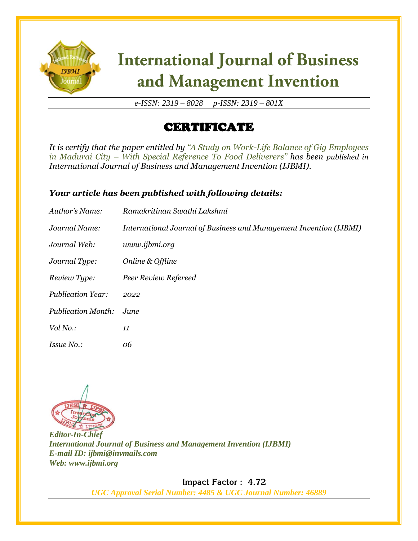

# **International Journal of Business** and Management Invention

*e-ISSN: 2319 – 8028 p-ISSN: 2319 – 801X*

## CERTIFICATE

*It is certify that the paper entitled by "A Study on Work-Life Balance of Gig Employees in Madurai City – With Special Reference To Food Deliverers" has been published in International Journal of Business and Management Invention (IJBMI).*

### *Your article has been published with following details:*

| Author's Name:            | Ramakritinan Swathi Lakshmi                                        |
|---------------------------|--------------------------------------------------------------------|
| Journal Name:             | International Journal of Business and Management Invention (IJBMI) |
| Journal Web:              | www.ijbmi.org                                                      |
| Journal Type:             | Online & Offline                                                   |
| Review Type:              | Peer Review Refereed                                               |
| <b>Publication Year:</b>  | 2022                                                               |
| <b>Publication Month:</b> | June.                                                              |
| Vol No.:                  | 11                                                                 |
| <i>Issue No.:</i>         | 06                                                                 |



*Editor-In-Chief International Journal of Business and Management Invention (IJBMI) E-mail ID: ijbmi@invmails.com Web: www.ijbmi.org*

 **Impact Factor : 4.72** 

*UGC Approval Serial Number: 4485 & UGC Journal Number: 46889*